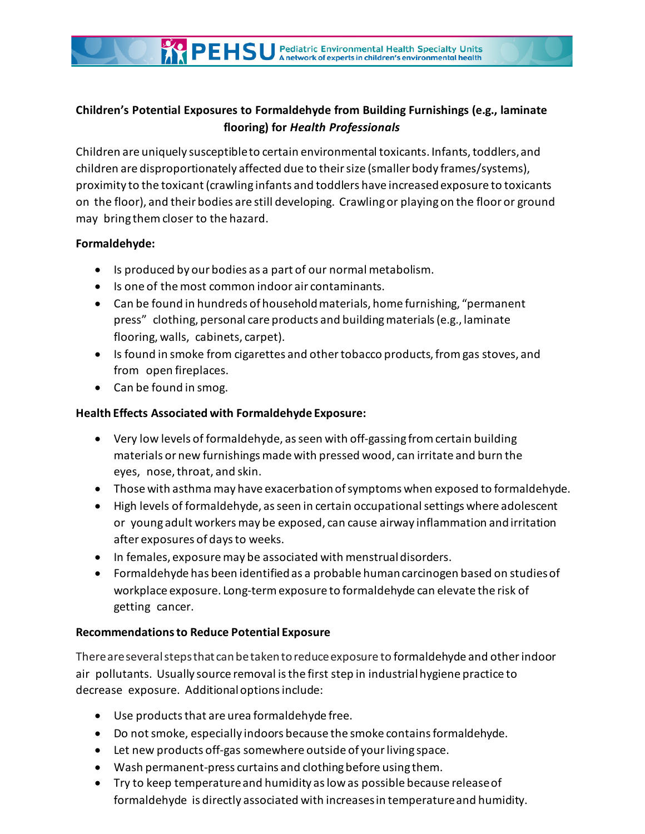# **Children's Potential Exposures to Formaldehyde from Building Furnishings (e.g., laminate flooring) for** *Health Professionals*

Children are uniquely susceptibleto certain environmental toxicants. Infants,toddlers,and children are disproportionately affected due to theirsize (smaller body frames/systems), proximity to the toxicant(crawling infants and toddlers have increasedexposure to toxicants on the floor), and their bodies are still developing. Crawlingor playingon the floor or ground may bring them closer to the hazard.

#### **Formaldehyde:**

- Is produced by our bodies as a part of our normal metabolism.
- $\bullet$  Is one of the most common indoor air contaminants.
- Can be found in hundreds of household materials, home furnishing, "permanent press" clothing, personal care products and buildingmaterials(e.g., laminate flooring, walls, cabinets, carpet).
- Is found in smoke from cigarettes and other tobacco products, from gas stoves, and from open fireplaces.
- $\bullet$  Can be found in smog.

### **Health Effects Associated with Formaldehyde Exposure:**

- Very low levels of formaldehyde, as seen with off-gassing from certain building materials or new furnishings made with pressed wood, can irritate and burn the eyes, nose, throat, and skin.
- Those with asthma may have exacerbation of symptoms when exposed to formaldehyde.
- High levels of formaldehyde, as seen in certain occupational settings where adolescent or young adult workersmay be exposed, can cause airway inflammation andirritation after exposures of daysto weeks.
- $\bullet$  In females, exposure may be associated with menstrual disorders.
- Formaldehyde has been identified as a probable human carcinogen based on studies of workplace exposure. Long-termexposure to formaldehyde can elevate the risk of getting cancer.

#### **Recommendationsto Reduce Potential Exposure**

Thereareseveralstepsthat canbetakentoreduceexposure to formaldehyde and other indoor air pollutants. Usually source removal is the first step in industrialhygiene practice to decrease exposure. Additionaloptions include:

- Use products that are urea formaldehyde free.
- Do not smoke, especially indoors because the smoke contains formaldehyde.
- Let new products off-gas somewhere outside of your living space.
- $\bullet$  Wash permanent-press curtains and clothing before using them.
- Try to keep temperature and humidity as low as possible because release of formaldehyde is directly associated with increasesin temperature and humidity.